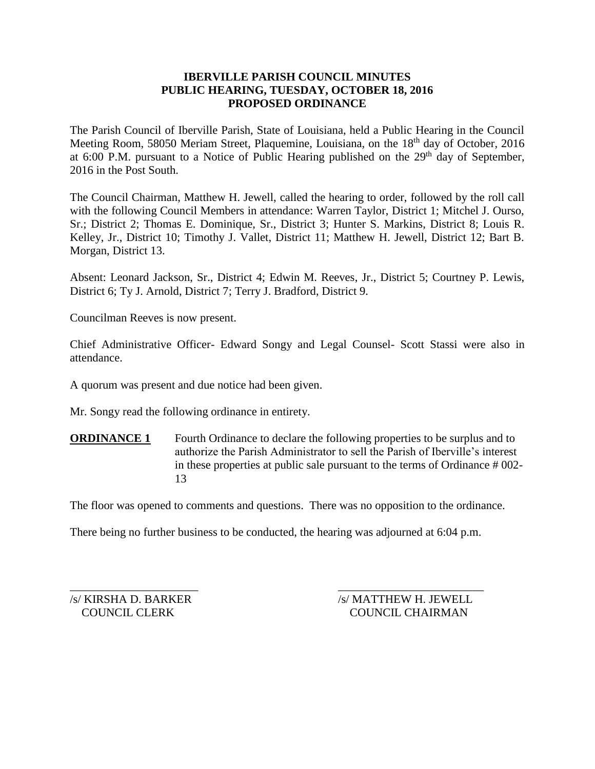## **IBERVILLE PARISH COUNCIL MINUTES PUBLIC HEARING, TUESDAY, OCTOBER 18, 2016 PROPOSED ORDINANCE**

The Parish Council of Iberville Parish, State of Louisiana, held a Public Hearing in the Council Meeting Room, 58050 Meriam Street, Plaquemine, Louisiana, on the 18<sup>th</sup> day of October, 2016 at 6:00 P.M. pursuant to a Notice of Public Hearing published on the  $29<sup>th</sup>$  day of September, 2016 in the Post South.

The Council Chairman, Matthew H. Jewell, called the hearing to order, followed by the roll call with the following Council Members in attendance: Warren Taylor, District 1; Mitchel J. Ourso, Sr.; District 2; Thomas E. Dominique, Sr., District 3; Hunter S. Markins, District 8; Louis R. Kelley, Jr., District 10; Timothy J. Vallet, District 11; Matthew H. Jewell, District 12; Bart B. Morgan, District 13.

Absent: Leonard Jackson, Sr., District 4; Edwin M. Reeves, Jr., District 5; Courtney P. Lewis, District 6; Ty J. Arnold, District 7; Terry J. Bradford, District 9.

Councilman Reeves is now present.

Chief Administrative Officer- Edward Songy and Legal Counsel- Scott Stassi were also in attendance.

A quorum was present and due notice had been given.

Mr. Songy read the following ordinance in entirety.

**ORDINANCE 1** Fourth Ordinance to declare the following properties to be surplus and to authorize the Parish Administrator to sell the Parish of Iberville's interest in these properties at public sale pursuant to the terms of Ordinance # 002- 13

The floor was opened to comments and questions. There was no opposition to the ordinance.

There being no further business to be conducted, the hearing was adjourned at 6:04 p.m.

 $\overline{\phantom{a}}$  , and the contract of the contract of the contract of the contract of the contract of the contract of the contract of the contract of the contract of the contract of the contract of the contract of the contrac /s/ KIRSHA D. BARKER /s/ MATTHEW H. JEWELL COUNCIL CLERK COUNCIL CHAIRMAN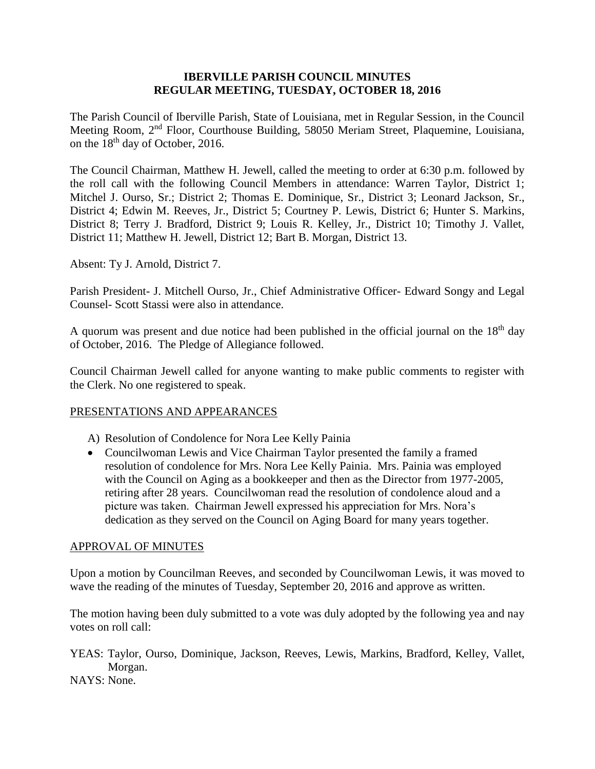### **IBERVILLE PARISH COUNCIL MINUTES REGULAR MEETING, TUESDAY, OCTOBER 18, 2016**

The Parish Council of Iberville Parish, State of Louisiana, met in Regular Session, in the Council Meeting Room, 2nd Floor, Courthouse Building, 58050 Meriam Street, Plaquemine, Louisiana, on the 18th day of October, 2016.

The Council Chairman, Matthew H. Jewell, called the meeting to order at 6:30 p.m. followed by the roll call with the following Council Members in attendance: Warren Taylor, District 1; Mitchel J. Ourso, Sr.; District 2; Thomas E. Dominique, Sr., District 3; Leonard Jackson, Sr., District 4; Edwin M. Reeves, Jr., District 5; Courtney P. Lewis, District 6; Hunter S. Markins, District 8; Terry J. Bradford, District 9; Louis R. Kelley, Jr., District 10; Timothy J. Vallet, District 11; Matthew H. Jewell, District 12; Bart B. Morgan, District 13.

Absent: Ty J. Arnold, District 7.

Parish President- J. Mitchell Ourso, Jr., Chief Administrative Officer- Edward Songy and Legal Counsel- Scott Stassi were also in attendance.

A quorum was present and due notice had been published in the official journal on the  $18<sup>th</sup>$  day of October, 2016. The Pledge of Allegiance followed.

Council Chairman Jewell called for anyone wanting to make public comments to register with the Clerk. No one registered to speak.

### PRESENTATIONS AND APPEARANCES

- A) Resolution of Condolence for Nora Lee Kelly Painia
- Councilwoman Lewis and Vice Chairman Taylor presented the family a framed resolution of condolence for Mrs. Nora Lee Kelly Painia. Mrs. Painia was employed with the Council on Aging as a bookkeeper and then as the Director from 1977-2005, retiring after 28 years. Councilwoman read the resolution of condolence aloud and a picture was taken. Chairman Jewell expressed his appreciation for Mrs. Nora's dedication as they served on the Council on Aging Board for many years together.

### APPROVAL OF MINUTES

Upon a motion by Councilman Reeves, and seconded by Councilwoman Lewis, it was moved to wave the reading of the minutes of Tuesday, September 20, 2016 and approve as written.

The motion having been duly submitted to a vote was duly adopted by the following yea and nay votes on roll call:

YEAS: Taylor, Ourso, Dominique, Jackson, Reeves, Lewis, Markins, Bradford, Kelley, Vallet, Morgan.

NAYS: None.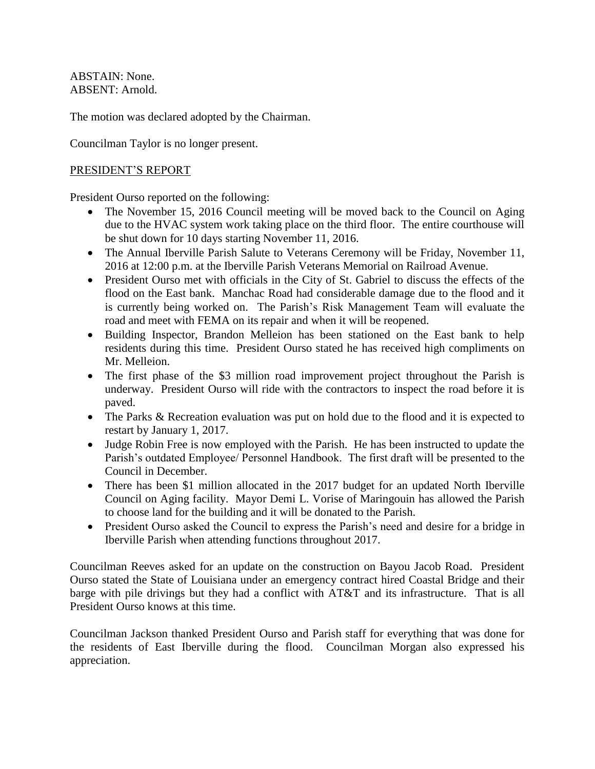ABSTAIN: None. ABSENT: Arnold.

The motion was declared adopted by the Chairman.

Councilman Taylor is no longer present.

### PRESIDENT'S REPORT

President Ourso reported on the following:

- The November 15, 2016 Council meeting will be moved back to the Council on Aging due to the HVAC system work taking place on the third floor. The entire courthouse will be shut down for 10 days starting November 11, 2016.
- The Annual Iberville Parish Salute to Veterans Ceremony will be Friday, November 11, 2016 at 12:00 p.m. at the Iberville Parish Veterans Memorial on Railroad Avenue.
- President Ourso met with officials in the City of St. Gabriel to discuss the effects of the flood on the East bank. Manchac Road had considerable damage due to the flood and it is currently being worked on. The Parish's Risk Management Team will evaluate the road and meet with FEMA on its repair and when it will be reopened.
- Building Inspector, Brandon Melleion has been stationed on the East bank to help residents during this time. President Ourso stated he has received high compliments on Mr. Melleion.
- The first phase of the \$3 million road improvement project throughout the Parish is underway. President Ourso will ride with the contractors to inspect the road before it is paved.
- The Parks & Recreation evaluation was put on hold due to the flood and it is expected to restart by January 1, 2017.
- Judge Robin Free is now employed with the Parish. He has been instructed to update the Parish's outdated Employee/ Personnel Handbook. The first draft will be presented to the Council in December.
- There has been \$1 million allocated in the 2017 budget for an updated North Iberville Council on Aging facility. Mayor Demi L. Vorise of Maringouin has allowed the Parish to choose land for the building and it will be donated to the Parish.
- President Ourso asked the Council to express the Parish's need and desire for a bridge in Iberville Parish when attending functions throughout 2017.

Councilman Reeves asked for an update on the construction on Bayou Jacob Road. President Ourso stated the State of Louisiana under an emergency contract hired Coastal Bridge and their barge with pile drivings but they had a conflict with AT&T and its infrastructure. That is all President Ourso knows at this time.

Councilman Jackson thanked President Ourso and Parish staff for everything that was done for the residents of East Iberville during the flood. Councilman Morgan also expressed his appreciation.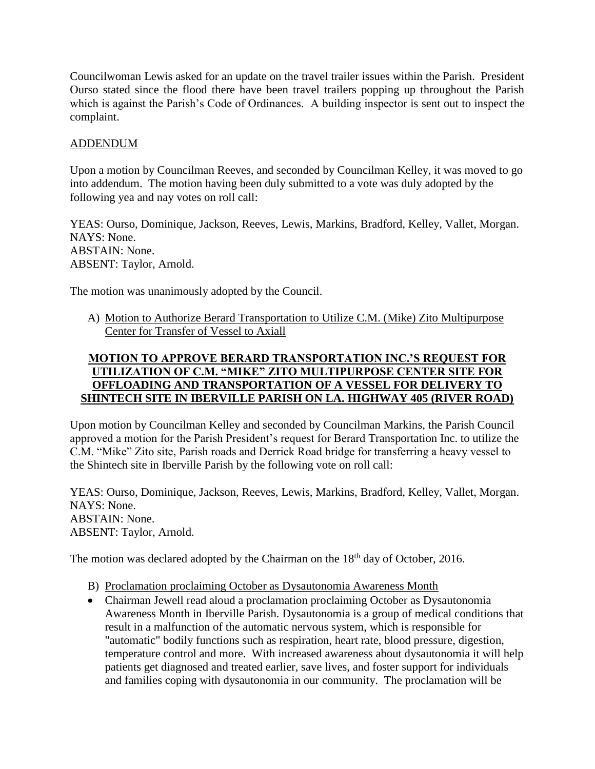Councilwoman Lewis asked for an update on the travel trailer issues within the Parish. President Ourso stated since the flood there have been travel trailers popping up throughout the Parish which is against the Parish's Code of Ordinances. A building inspector is sent out to inspect the complaint.

### ADDENDUM

Upon a motion by Councilman Reeves, and seconded by Councilman Kelley, it was moved to go into addendum. The motion having been duly submitted to a vote was duly adopted by the following yea and nay votes on roll call:

YEAS: Ourso, Dominique, Jackson, Reeves, Lewis, Markins, Bradford, Kelley, Vallet, Morgan. NAYS: None. ABSTAIN: None. ABSENT: Taylor, Arnold.

The motion was unanimously adopted by the Council.

A) Motion to Authorize Berard Transportation to Utilize C.M. (Mike) Zito Multipurpose Center for Transfer of Vessel to Axiall

# **MOTION TO APPROVE BERARD TRANSPORTATION INC.'S REQUEST FOR UTILIZATION OF C.M. "MIKE" ZITO MULTIPURPOSE CENTER SITE FOR OFFLOADING AND TRANSPORTATION OF A VESSEL FOR DELIVERY TO SHINTECH SITE IN IBERVILLE PARISH ON LA. HIGHWAY 405 (RIVER ROAD)**

Upon motion by Councilman Kelley and seconded by Councilman Markins, the Parish Council approved a motion for the Parish President's request for Berard Transportation Inc. to utilize the C.M. "Mike" Zito site, Parish roads and Derrick Road bridge for transferring a heavy vessel to the Shintech site in Iberville Parish by the following vote on roll call:

YEAS: Ourso, Dominique, Jackson, Reeves, Lewis, Markins, Bradford, Kelley, Vallet, Morgan. NAYS: None. ABSTAIN: None. ABSENT: Taylor, Arnold.

The motion was declared adopted by the Chairman on the  $18<sup>th</sup>$  day of October, 2016.

- B) Proclamation proclaiming October as Dysautonomia Awareness Month
- Chairman Jewell read aloud a proclamation proclaiming October as Dysautonomia Awareness Month in Iberville Parish. Dysautonomia is a group of medical conditions that result in a malfunction of the automatic nervous system, which is responsible for "automatic" bodily functions such as respiration, heart rate, blood pressure, digestion, temperature control and more. With increased awareness about dysautonomia it will help patients get diagnosed and treated earlier, save lives, and foster support for individuals and families coping with dysautonomia in our community. The proclamation will be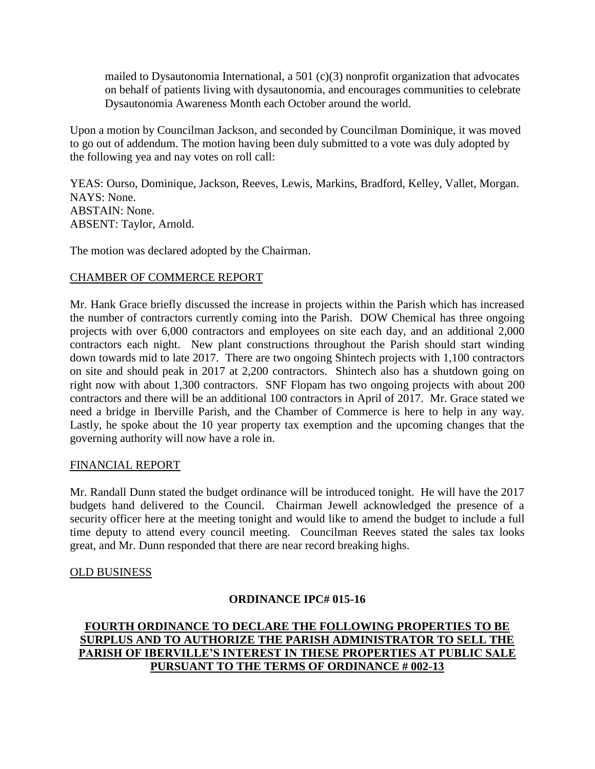mailed to Dysautonomia International, a 501 (c)(3) nonprofit organization that advocates on behalf of patients living with dysautonomia, and encourages communities to celebrate Dysautonomia Awareness Month each October around the world.

Upon a motion by Councilman Jackson, and seconded by Councilman Dominique, it was moved to go out of addendum. The motion having been duly submitted to a vote was duly adopted by the following yea and nay votes on roll call:

YEAS: Ourso, Dominique, Jackson, Reeves, Lewis, Markins, Bradford, Kelley, Vallet, Morgan. NAYS: None. ABSTAIN: None. ABSENT: Taylor, Arnold.

The motion was declared adopted by the Chairman.

## CHAMBER OF COMMERCE REPORT

Mr. Hank Grace briefly discussed the increase in projects within the Parish which has increased the number of contractors currently coming into the Parish. DOW Chemical has three ongoing projects with over 6,000 contractors and employees on site each day, and an additional 2,000 contractors each night. New plant constructions throughout the Parish should start winding down towards mid to late 2017. There are two ongoing Shintech projects with 1,100 contractors on site and should peak in 2017 at 2,200 contractors. Shintech also has a shutdown going on right now with about 1,300 contractors. SNF Flopam has two ongoing projects with about 200 contractors and there will be an additional 100 contractors in April of 2017. Mr. Grace stated we need a bridge in Iberville Parish, and the Chamber of Commerce is here to help in any way. Lastly, he spoke about the 10 year property tax exemption and the upcoming changes that the governing authority will now have a role in.

### FINANCIAL REPORT

Mr. Randall Dunn stated the budget ordinance will be introduced tonight. He will have the 2017 budgets hand delivered to the Council. Chairman Jewell acknowledged the presence of a security officer here at the meeting tonight and would like to amend the budget to include a full time deputy to attend every council meeting. Councilman Reeves stated the sales tax looks great, and Mr. Dunn responded that there are near record breaking highs.

### OLD BUSINESS

# **ORDINANCE IPC# 015-16**

# **FOURTH ORDINANCE TO DECLARE THE FOLLOWING PROPERTIES TO BE SURPLUS AND TO AUTHORIZE THE PARISH ADMINISTRATOR TO SELL THE PARISH OF IBERVILLE'S INTEREST IN THESE PROPERTIES AT PUBLIC SALE PURSUANT TO THE TERMS OF ORDINANCE # 002-13**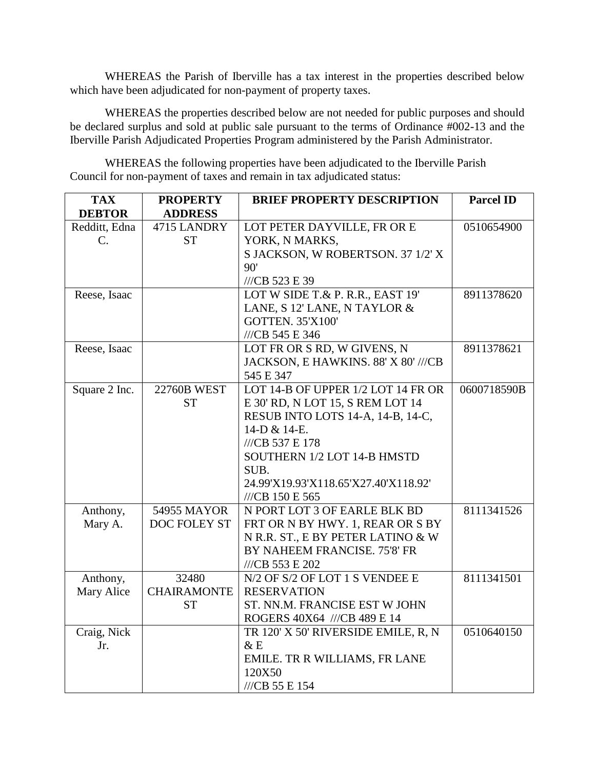WHEREAS the Parish of Iberville has a tax interest in the properties described below which have been adjudicated for non-payment of property taxes.

WHEREAS the properties described below are not needed for public purposes and should be declared surplus and sold at public sale pursuant to the terms of Ordinance #002-13 and the Iberville Parish Adjudicated Properties Program administered by the Parish Administrator.

WHEREAS the following properties have been adjudicated to the Iberville Parish Council for non-payment of taxes and remain in tax adjudicated status:

| <b>TAX</b>                       | <b>PROPERTY</b>          | <b>BRIEF PROPERTY DESCRIPTION</b>             | <b>Parcel ID</b> |
|----------------------------------|--------------------------|-----------------------------------------------|------------------|
| <b>DEBTOR</b>                    | <b>ADDRESS</b>           |                                               |                  |
| Redditt, Edna<br>$\mathcal{C}$ . | 4715 LANDRY<br><b>ST</b> | LOT PETER DAYVILLE, FR OR E<br>YORK, N MARKS, | 0510654900       |
|                                  |                          | S JACKSON, W ROBERTSON. 37 1/2' X             |                  |
|                                  |                          | 90'                                           |                  |
|                                  |                          | ///CB 523 E 39                                |                  |
|                                  |                          | LOT W SIDE T.& P. R.R., EAST 19'              | 8911378620       |
| Reese, Isaac                     |                          | LANE, S 12' LANE, N TAYLOR &                  |                  |
|                                  |                          |                                               |                  |
|                                  |                          | <b>GOTTEN. 35'X100'</b>                       |                  |
|                                  |                          | ///CB 545 E 346                               |                  |
| Reese, Isaac                     |                          | LOT FR OR S RD, W GIVENS, N                   | 8911378621       |
|                                  |                          | JACKSON, E HAWKINS. 88' X 80' ///CB           |                  |
|                                  |                          | 545 E 347                                     |                  |
| Square 2 Inc.                    | <b>22760B WEST</b>       | LOT 14-B OF UPPER 1/2 LOT 14 FR OR            | 0600718590B      |
|                                  | <b>ST</b>                | E 30' RD, N LOT 15, S REM LOT 14              |                  |
|                                  |                          | RESUB INTO LOTS 14-A, 14-B, 14-C,             |                  |
|                                  |                          | 14-D & 14-E.                                  |                  |
|                                  |                          | ///CB 537 E 178                               |                  |
|                                  |                          | SOUTHERN 1/2 LOT 14-B HMSTD                   |                  |
|                                  |                          | SUB.                                          |                  |
|                                  |                          | 24.99'X19.93'X118.65'X27.40'X118.92'          |                  |
|                                  |                          | ///CB 150 E 565                               |                  |
| Anthony,                         | 54955 MAYOR              | N PORT LOT 3 OF EARLE BLK BD                  | 8111341526       |
| Mary A.                          | DOC FOLEY ST             | FRT OR N BY HWY. 1, REAR OR S BY              |                  |
|                                  |                          | N R.R. ST., E BY PETER LATINO & W             |                  |
|                                  |                          | BY NAHEEM FRANCISE. 75'8' FR                  |                  |
|                                  |                          | ///CB 553 E 202                               |                  |
| Anthony,                         | 32480                    | N/2 OF S/2 OF LOT 1 S VENDEE E                | 8111341501       |
| Mary Alice                       | <b>CHAIRAMONTE</b>       | <b>RESERVATION</b>                            |                  |
|                                  | <b>ST</b>                | ST. NN.M. FRANCISE EST W JOHN                 |                  |
|                                  |                          | ROGERS 40X64 ///CB 489 E 14                   |                  |
| Craig, Nick                      |                          | TR 120' X 50' RIVERSIDE EMILE, R, N           | 0510640150       |
| Jr.                              |                          | & E                                           |                  |
|                                  |                          | EMILE. TR R WILLIAMS, FR LANE                 |                  |
|                                  |                          | 120X50                                        |                  |
|                                  |                          | ///CB 55 E 154                                |                  |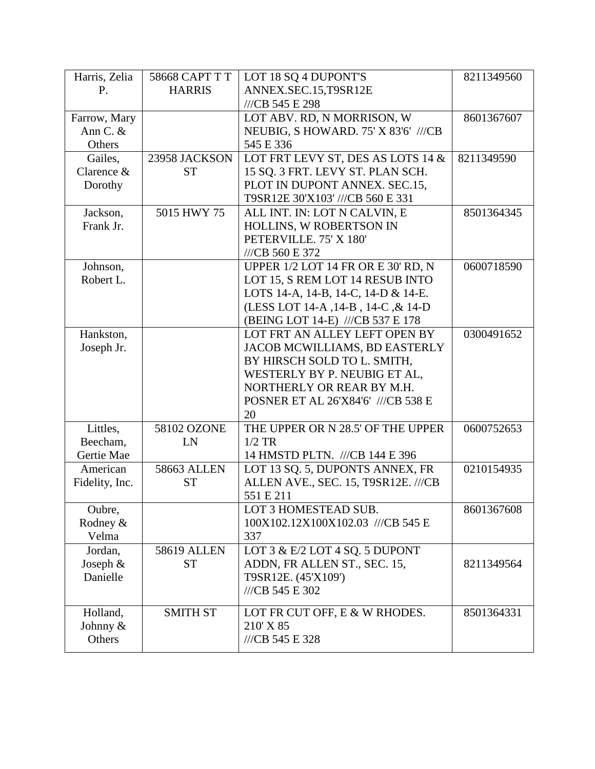| Harris, Zelia        | 58668 CAPT T T     | LOT 18 SQ 4 DUPONT'S                | 8211349560 |
|----------------------|--------------------|-------------------------------------|------------|
| P.                   | <b>HARRIS</b>      | ANNEX.SEC.15,T9SR12E                |            |
|                      |                    | ///CB 545 E 298                     |            |
| Farrow, Mary         |                    | LOT ABV. RD, N MORRISON, W          | 8601367607 |
| Ann C. &             |                    | NEUBIG, S HOWARD. 75' X 83'6' ///CB |            |
| Others               |                    | 545 E 336                           |            |
| Gailes,              | 23958 JACKSON      | LOT FRT LEVY ST, DES AS LOTS 14 &   | 8211349590 |
| Clarence $&$         | <b>ST</b>          | 15 SQ. 3 FRT. LEVY ST. PLAN SCH.    |            |
| Dorothy              |                    | PLOT IN DUPONT ANNEX. SEC.15,       |            |
|                      |                    | T9SR12E 30'X103' ///CB 560 E 331    |            |
| Jackson,             | 5015 HWY 75        | ALL INT. IN: LOT N CALVIN, E        | 8501364345 |
| Frank Jr.            |                    | HOLLINS, W ROBERTSON IN             |            |
|                      |                    | PETERVILLE. 75' X 180'              |            |
|                      |                    | ///CB 560 E 372                     |            |
| Johnson,             |                    | UPPER 1/2 LOT 14 FR OR E 30' RD, N  | 0600718590 |
| Robert L.            |                    | LOT 15, S REM LOT 14 RESUB INTO     |            |
|                      |                    | LOTS 14-A, 14-B, 14-C, 14-D & 14-E. |            |
|                      |                    | (LESS LOT 14-A, 14-B, 14-C, & 14-D) |            |
|                      |                    | (BEING LOT 14-E) ///CB 537 E 178    |            |
| Hankston,            |                    | LOT FRT AN ALLEY LEFT OPEN BY       | 0300491652 |
| Joseph Jr.           |                    | JACOB MCWILLIAMS, BD EASTERLY       |            |
|                      |                    | BY HIRSCH SOLD TO L. SMITH,         |            |
|                      |                    | WESTERLY BY P. NEUBIG ET AL,        |            |
|                      |                    | NORTHERLY OR REAR BY M.H.           |            |
|                      |                    | POSNER ET AL 26'X84'6' ///CB 538 E  |            |
|                      |                    | 20                                  |            |
| Littles,             | 58102 OZONE        | THE UPPER OR N 28.5' OF THE UPPER   | 0600752653 |
| Beecham,             | LN                 | $1/2$ TR                            |            |
| Gertie Mae           |                    | 14 HMSTD PLTN. ///CB 144 E 396      |            |
| American             | <b>58663 ALLEN</b> | LOT 13 SQ. 5, DUPONTS ANNEX, FR     | 0210154935 |
| Fidelity, Inc.       | <b>ST</b>          | ALLEN AVE., SEC. 15, T9SR12E. ///CB |            |
|                      |                    | 551 E 211                           |            |
| Oubre,               |                    | LOT 3 HOMESTEAD SUB.                | 8601367608 |
| Rodney &             |                    | 100X102.12X100X102.03 ///CB 545 E   |            |
| Velma                |                    | 337                                 |            |
| Jordan,              | <b>58619 ALLEN</b> | LOT 3 & E/2 LOT 4 SQ. 5 DUPONT      |            |
| Joseph $&$           | <b>ST</b>          | ADDN, FR ALLEN ST., SEC. 15,        | 8211349564 |
| Danielle             |                    | T9SR12E. (45'X109')                 |            |
|                      |                    | ///CB 545 E 302                     |            |
|                      | <b>SMITH ST</b>    | LOT FR CUT OFF, E & W RHODES.       | 8501364331 |
| Holland,<br>Johnny & |                    | 210' X 85                           |            |
| Others               |                    |                                     |            |
|                      |                    | ///CB 545 E 328                     |            |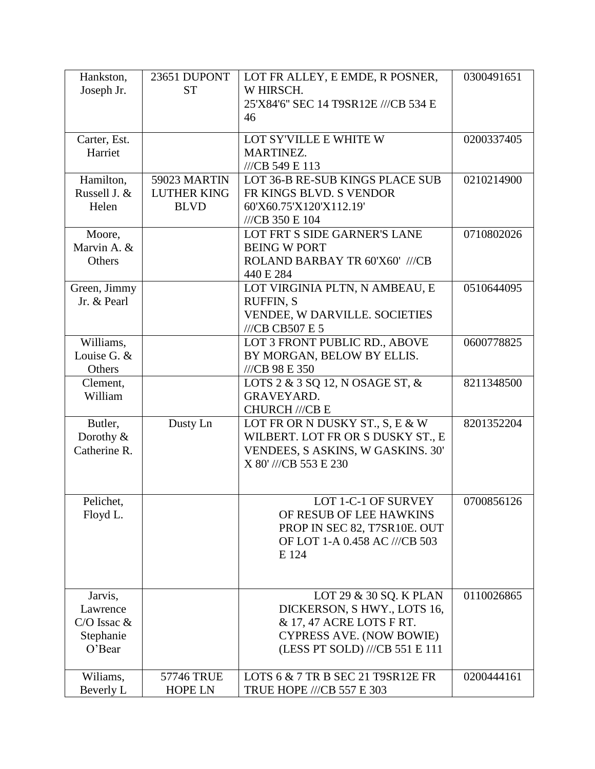| Hankston,             | 23651 DUPONT       | LOT FR ALLEY, E EMDE, R POSNER,                                   | 0300491651 |
|-----------------------|--------------------|-------------------------------------------------------------------|------------|
| Joseph Jr.            | <b>ST</b>          | W HIRSCH.<br>25'X84'6" SEC 14 T9SR12E ///CB 534 E                 |            |
|                       |                    | 46                                                                |            |
| Carter, Est.          |                    | LOT SY'VILLE E WHITE W                                            | 0200337405 |
| Harriet               |                    | MARTINEZ.                                                         |            |
| Hamilton,             | 59023 MARTIN       | ///CB 549 E 113<br>LOT 36-B RE-SUB KINGS PLACE SUB                | 0210214900 |
| Russell J. &          | <b>LUTHER KING</b> | FR KINGS BLVD. S VENDOR                                           |            |
| Helen                 | <b>BLVD</b>        | 60'X60.75'X120'X112.19'                                           |            |
|                       |                    | ///CB 350 E 104                                                   |            |
| Moore,<br>Marvin A. & |                    | LOT FRT S SIDE GARNER'S LANE<br><b>BEING W PORT</b>               | 0710802026 |
| Others                |                    | ROLAND BARBAY TR 60'X60' ///CB                                    |            |
|                       |                    | 440 E 284                                                         |            |
| Green, Jimmy          |                    | LOT VIRGINIA PLTN, N AMBEAU, E                                    | 0510644095 |
| Jr. & Pearl           |                    | <b>RUFFIN, S</b>                                                  |            |
|                       |                    | VENDEE, W DARVILLE. SOCIETIES<br>$///CB$ CB507 E 5                |            |
| Williams,             |                    | LOT 3 FRONT PUBLIC RD., ABOVE                                     | 0600778825 |
| Louise G. &           |                    | BY MORGAN, BELOW BY ELLIS.                                        |            |
| Others                |                    | ///CB 98 E 350                                                    |            |
| Clement,<br>William   |                    | LOTS 2 & 3 SQ 12, N OSAGE ST, &<br><b>GRAVEYARD.</b>              | 8211348500 |
|                       |                    | <b>CHURCH ///CB E</b>                                             |            |
| Butler,               | Dusty Ln           | LOT FR OR N DUSKY ST., S, E & W                                   | 8201352204 |
| Dorothy &             |                    | WILBERT. LOT FR OR S DUSKY ST., E                                 |            |
| Catherine R.          |                    | VENDEES, S ASKINS, W GASKINS. 30'<br>X 80' ///CB 553 E 230        |            |
|                       |                    |                                                                   |            |
|                       |                    |                                                                   |            |
| Pelichet,<br>Floyd L. |                    | LOT 1-C-1 OF SURVEY<br>OF RESUB OF LEE HAWKINS                    | 0700856126 |
|                       |                    | PROP IN SEC 82, T7SR10E. OUT                                      |            |
|                       |                    | OF LOT 1-A 0.458 AC ///CB 503                                     |            |
|                       |                    | E 124                                                             |            |
|                       |                    |                                                                   |            |
| Jarvis,               |                    | LOT 29 & 30 SQ. K PLAN                                            | 0110026865 |
| Lawrence              |                    | DICKERSON, SHWY., LOTS 16,                                        |            |
| $C/O$ Issac $&$       |                    | & 17, 47 ACRE LOTS F RT.                                          |            |
| Stephanie<br>O'Bear   |                    | <b>CYPRESS AVE. (NOW BOWIE)</b><br>(LESS PT SOLD) ///CB 551 E 111 |            |
|                       |                    |                                                                   |            |
| Wiliams,              | 57746 TRUE         | LOTS 6 & 7 TR B SEC 21 T9SR12E FR                                 | 0200444161 |
| Beverly L             | <b>HOPE LN</b>     | TRUE HOPE ///CB 557 E 303                                         |            |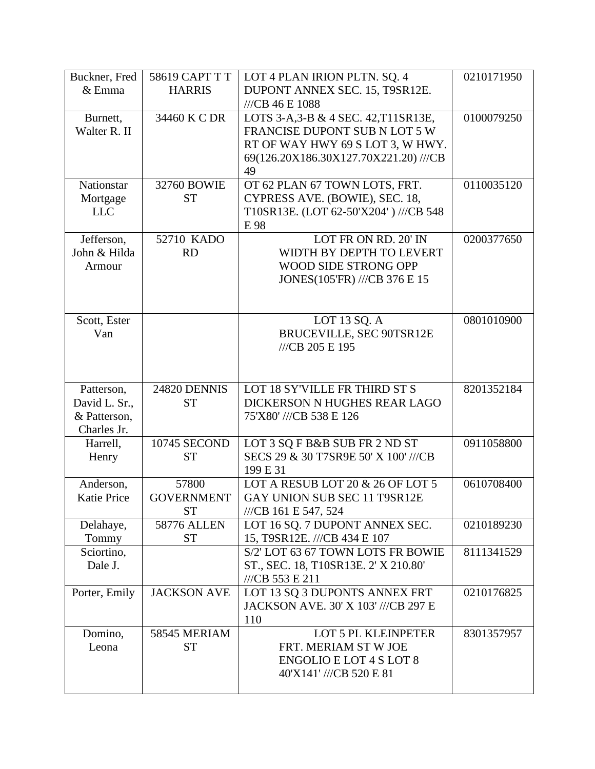| Buckner, Fred                   | 58619 CAPT T T             | LOT 4 PLAN IRION PLTN. SQ. 4                                   | 0210171950 |
|---------------------------------|----------------------------|----------------------------------------------------------------|------------|
| & Emma                          | <b>HARRIS</b>              | DUPONT ANNEX SEC. 15, T9SR12E.                                 |            |
|                                 |                            | ///CB 46 E 1088                                                |            |
| Burnett,                        | 34460 K C DR               | LOTS 3-A, 3-B & 4 SEC. 42, T11SR13E,                           | 0100079250 |
| Walter R. II                    |                            | FRANCISE DUPONT SUB N LOT 5 W                                  |            |
|                                 |                            | RT OF WAY HWY 69 S LOT 3, W HWY.                               |            |
|                                 |                            | 69(126.20X186.30X127.70X221.20) ///CB                          |            |
|                                 |                            | 49                                                             |            |
| Nationstar                      | 32760 BOWIE                | OT 62 PLAN 67 TOWN LOTS, FRT.                                  | 0110035120 |
| Mortgage                        | <b>ST</b>                  | CYPRESS AVE. (BOWIE), SEC. 18,                                 |            |
| <b>LLC</b>                      |                            | T10SR13E. (LOT 62-50'X204') ///CB 548                          |            |
|                                 |                            | E 98                                                           |            |
| Jefferson,                      | 52710 KADO                 | LOT FR ON RD. 20' IN                                           | 0200377650 |
| John & Hilda                    | <b>RD</b>                  | WIDTH BY DEPTH TO LEVERT                                       |            |
| Armour                          |                            | WOOD SIDE STRONG OPP                                           |            |
|                                 |                            | JONES(105'FR) ///CB 376 E 15                                   |            |
|                                 |                            |                                                                |            |
|                                 |                            |                                                                |            |
| Scott, Ester<br>Van             |                            | LOT 13 SQ. A<br>BRUCEVILLE, SEC 90TSR12E                       | 0801010900 |
|                                 |                            | ///CB 205 E 195                                                |            |
|                                 |                            |                                                                |            |
|                                 |                            |                                                                |            |
| Patterson,                      | <b>24820 DENNIS</b>        | LOT 18 SY'VILLE FR THIRD ST S                                  | 8201352184 |
| David L. Sr.,                   | <b>ST</b>                  | DICKERSON N HUGHES REAR LAGO                                   |            |
| & Patterson,                    |                            |                                                                |            |
|                                 |                            |                                                                |            |
|                                 |                            | 75'X80' ///CB 538 E 126                                        |            |
| Charles Jr.                     |                            |                                                                |            |
| Harrell,                        | 10745 SECOND               | LOT 3 SQ F B&B SUB FR 2 ND ST                                  | 0911058800 |
| Henry                           | <b>ST</b>                  | SECS 29 & 30 T7SR9E 50' X 100' ///CB                           |            |
|                                 |                            | 199 E 31                                                       |            |
| Anderson,<br><b>Katie Price</b> | 57800<br><b>GOVERNMENT</b> | LOT A RESUB LOT 20 & 26 OF LOT 5                               | 0610708400 |
|                                 | <b>ST</b>                  | GAY UNION SUB SEC 11 T9SR12E                                   |            |
|                                 | <b>58776 ALLEN</b>         | ///CB 161 E 547, 524                                           |            |
| Delahaye,                       | <b>ST</b>                  | LOT 16 SQ. 7 DUPONT ANNEX SEC.<br>15, T9SR12E. ///CB 434 E 107 | 0210189230 |
| Tommy<br>Sciortino,             |                            | S/2' LOT 63 67 TOWN LOTS FR BOWIE                              | 8111341529 |
| Dale J.                         |                            | ST., SEC. 18, T10SR13E. 2' X 210.80'                           |            |
|                                 |                            | ///CB 553 E 211                                                |            |
| Porter, Emily                   | <b>JACKSON AVE</b>         | LOT 13 SQ 3 DUPONTS ANNEX FRT                                  | 0210176825 |
|                                 |                            | JACKSON AVE. 30' X 103' ///CB 297 E                            |            |
|                                 |                            | 110                                                            |            |
| Domino,                         | 58545 MERIAM               | LOT 5 PL KLEINPETER                                            | 8301357957 |
| Leona                           | <b>ST</b>                  | FRT. MERIAM ST W JOE                                           |            |
|                                 |                            | <b>ENGOLIO E LOT 4 S LOT 8</b>                                 |            |
|                                 |                            | 40'X141' ///CB 520 E 81                                        |            |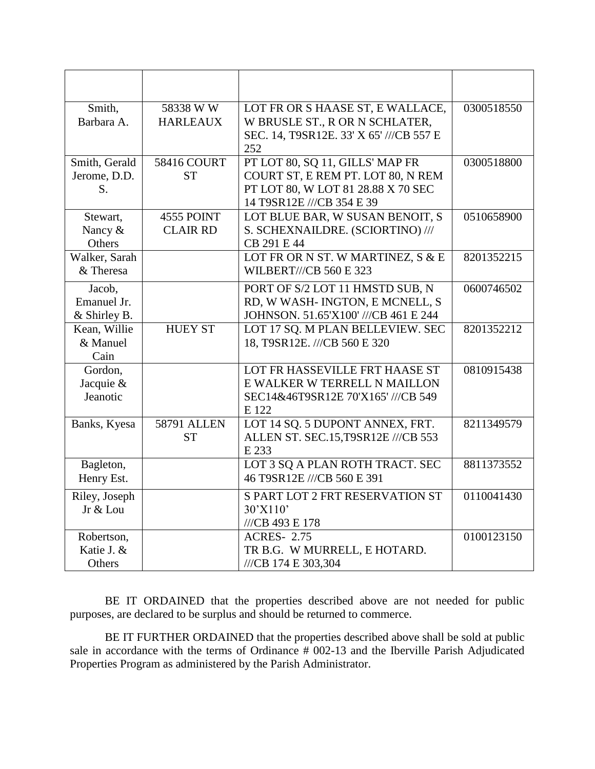| Smith,        | 58338 W W          | LOT FR OR S HAASE ST, E WALLACE,        | 0300518550 |
|---------------|--------------------|-----------------------------------------|------------|
| Barbara A.    | <b>HARLEAUX</b>    | W BRUSLE ST., R OR N SCHLATER,          |            |
|               |                    | SEC. 14, T9SR12E. 33' X 65' ///CB 557 E |            |
|               |                    | 252                                     |            |
| Smith, Gerald | <b>58416 COURT</b> | PT LOT 80, SQ 11, GILLS' MAP FR         | 0300518800 |
| Jerome, D.D.  | <b>ST</b>          | COURT ST, E REM PT. LOT 80, N REM       |            |
| S.            |                    | PT LOT 80, W LOT 81 28.88 X 70 SEC      |            |
|               |                    | 14 T9SR12E ///CB 354 E 39               |            |
| Stewart,      | 4555 POINT         | LOT BLUE BAR, W SUSAN BENOIT, S         | 0510658900 |
| Nancy &       | <b>CLAIR RD</b>    | S. SCHEXNAILDRE. (SCIORTINO) ///        |            |
| Others        |                    | CB 291 E 44                             |            |
| Walker, Sarah |                    | LOT FR OR N ST. W MARTINEZ, S & E       | 8201352215 |
| & Theresa     |                    | <b>WILBERT///CB 560 E 323</b>           |            |
| Jacob,        |                    | PORT OF S/2 LOT 11 HMSTD SUB, N         | 0600746502 |
| Emanuel Jr.   |                    | RD, W WASH-INGTON, E MCNELL, S          |            |
| & Shirley B.  |                    | JOHNSON. 51.65'X100' ///CB 461 E 244    |            |
| Kean, Willie  | <b>HUEY ST</b>     | LOT 17 SQ. M PLAN BELLEVIEW. SEC        | 8201352212 |
| & Manuel      |                    | 18, T9SR12E. ///CB 560 E 320            |            |
| Cain          |                    |                                         |            |
| Gordon,       |                    | LOT FR HASSEVILLE FRT HAASE ST          | 0810915438 |
| Jacquie &     |                    | E WALKER W TERRELL N MAILLON            |            |
| Jeanotic      |                    | SEC14&46T9SR12E 70'X165' ///CB 549      |            |
|               |                    | E 122                                   |            |
| Banks, Kyesa  | <b>58791 ALLEN</b> | LOT 14 SQ. 5 DUPONT ANNEX, FRT.         | 8211349579 |
|               | <b>ST</b>          | ALLEN ST. SEC.15, T9SR12E ///CB 553     |            |
|               |                    | E 233                                   |            |
| Bagleton,     |                    | LOT 3 SQ A PLAN ROTH TRACT. SEC         | 8811373552 |
| Henry Est.    |                    | 46 T9SR12E ///CB 560 E 391              |            |
| Riley, Joseph |                    | S PART LOT 2 FRT RESERVATION ST         | 0110041430 |
| Jr & Lou      |                    | 30'X110'                                |            |
|               |                    | ///CB 493 E 178                         |            |
| Robertson,    |                    | <b>ACRES-2.75</b>                       | 0100123150 |
| Katie J. &    |                    | TR B.G. W MURRELL, E HOTARD.            |            |
| Others        |                    | ///CB 174 E 303,304                     |            |

BE IT ORDAINED that the properties described above are not needed for public purposes, are declared to be surplus and should be returned to commerce.

BE IT FURTHER ORDAINED that the properties described above shall be sold at public sale in accordance with the terms of Ordinance # 002-13 and the Iberville Parish Adjudicated Properties Program as administered by the Parish Administrator.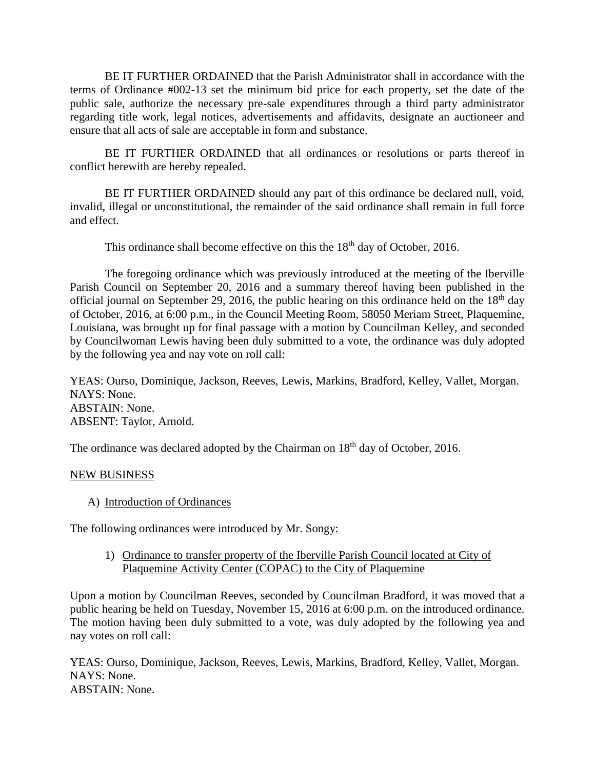BE IT FURTHER ORDAINED that the Parish Administrator shall in accordance with the terms of Ordinance #002-13 set the minimum bid price for each property, set the date of the public sale, authorize the necessary pre-sale expenditures through a third party administrator regarding title work, legal notices, advertisements and affidavits, designate an auctioneer and ensure that all acts of sale are acceptable in form and substance.

BE IT FURTHER ORDAINED that all ordinances or resolutions or parts thereof in conflict herewith are hereby repealed.

BE IT FURTHER ORDAINED should any part of this ordinance be declared null, void, invalid, illegal or unconstitutional, the remainder of the said ordinance shall remain in full force and effect.

This ordinance shall become effective on this the  $18<sup>th</sup>$  day of October, 2016.

The foregoing ordinance which was previously introduced at the meeting of the Iberville Parish Council on September 20, 2016 and a summary thereof having been published in the official journal on September 29, 2016, the public hearing on this ordinance held on the  $18<sup>th</sup>$  day of October, 2016, at 6:00 p.m., in the Council Meeting Room, 58050 Meriam Street, Plaquemine, Louisiana, was brought up for final passage with a motion by Councilman Kelley, and seconded by Councilwoman Lewis having been duly submitted to a vote, the ordinance was duly adopted by the following yea and nay vote on roll call:

YEAS: Ourso, Dominique, Jackson, Reeves, Lewis, Markins, Bradford, Kelley, Vallet, Morgan. NAYS: None. ABSTAIN: None. ABSENT: Taylor, Arnold.

The ordinance was declared adopted by the Chairman on 18<sup>th</sup> day of October, 2016.

## NEW BUSINESS

A) Introduction of Ordinances

The following ordinances were introduced by Mr. Songy:

1) Ordinance to transfer property of the Iberville Parish Council located at City of Plaquemine Activity Center (COPAC) to the City of Plaquemine

Upon a motion by Councilman Reeves, seconded by Councilman Bradford, it was moved that a public hearing be held on Tuesday, November 15, 2016 at 6:00 p.m. on the introduced ordinance. The motion having been duly submitted to a vote, was duly adopted by the following yea and nay votes on roll call:

YEAS: Ourso, Dominique, Jackson, Reeves, Lewis, Markins, Bradford, Kelley, Vallet, Morgan. NAYS: None. ABSTAIN: None.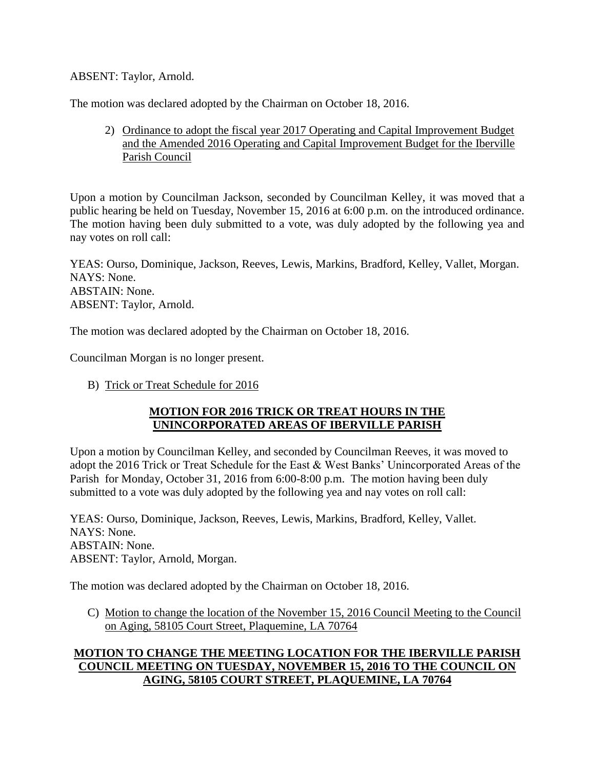## ABSENT: Taylor, Arnold.

The motion was declared adopted by the Chairman on October 18, 2016.

2) Ordinance to adopt the fiscal year 2017 Operating and Capital Improvement Budget and the Amended 2016 Operating and Capital Improvement Budget for the Iberville Parish Council

Upon a motion by Councilman Jackson, seconded by Councilman Kelley, it was moved that a public hearing be held on Tuesday, November 15, 2016 at 6:00 p.m. on the introduced ordinance. The motion having been duly submitted to a vote, was duly adopted by the following yea and nay votes on roll call:

YEAS: Ourso, Dominique, Jackson, Reeves, Lewis, Markins, Bradford, Kelley, Vallet, Morgan. NAYS: None. ABSTAIN: None. ABSENT: Taylor, Arnold.

The motion was declared adopted by the Chairman on October 18, 2016.

Councilman Morgan is no longer present.

B) Trick or Treat Schedule for 2016

## **MOTION FOR 2016 TRICK OR TREAT HOURS IN THE UNINCORPORATED AREAS OF IBERVILLE PARISH**

Upon a motion by Councilman Kelley, and seconded by Councilman Reeves, it was moved to adopt the 2016 Trick or Treat Schedule for the East & West Banks' Unincorporated Areas of the Parish for Monday, October 31, 2016 from 6:00-8:00 p.m. The motion having been duly submitted to a vote was duly adopted by the following yea and nay votes on roll call:

YEAS: Ourso, Dominique, Jackson, Reeves, Lewis, Markins, Bradford, Kelley, Vallet. NAYS: None. ABSTAIN: None. ABSENT: Taylor, Arnold, Morgan.

The motion was declared adopted by the Chairman on October 18, 2016.

C) Motion to change the location of the November 15, 2016 Council Meeting to the Council on Aging, 58105 Court Street, Plaquemine, LA 70764

# **MOTION TO CHANGE THE MEETING LOCATION FOR THE IBERVILLE PARISH COUNCIL MEETING ON TUESDAY, NOVEMBER 15, 2016 TO THE COUNCIL ON AGING, 58105 COURT STREET, PLAQUEMINE, LA 70764**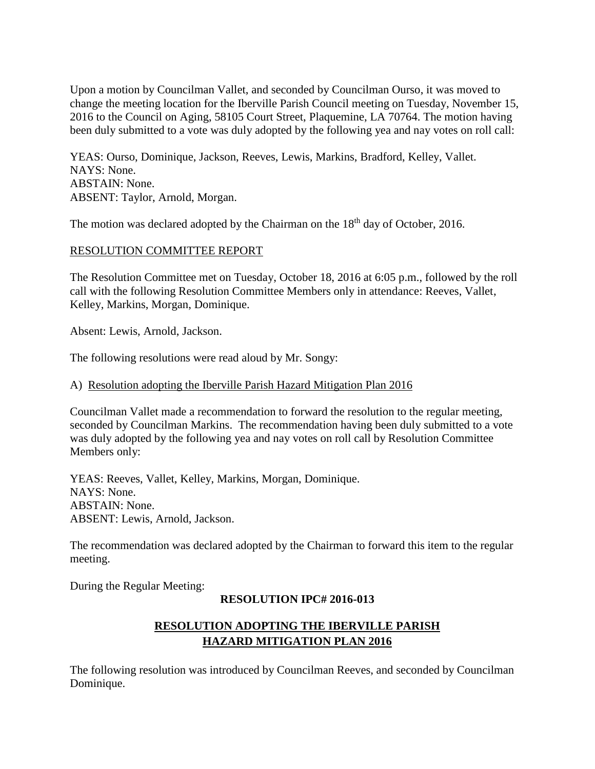Upon a motion by Councilman Vallet, and seconded by Councilman Ourso, it was moved to change the meeting location for the Iberville Parish Council meeting on Tuesday, November 15, 2016 to the Council on Aging, 58105 Court Street, Plaquemine, LA 70764. The motion having been duly submitted to a vote was duly adopted by the following yea and nay votes on roll call:

YEAS: Ourso, Dominique, Jackson, Reeves, Lewis, Markins, Bradford, Kelley, Vallet. NAYS: None. ABSTAIN: None. ABSENT: Taylor, Arnold, Morgan.

The motion was declared adopted by the Chairman on the  $18<sup>th</sup>$  day of October, 2016.

## RESOLUTION COMMITTEE REPORT

The Resolution Committee met on Tuesday, October 18, 2016 at 6:05 p.m., followed by the roll call with the following Resolution Committee Members only in attendance: Reeves, Vallet, Kelley, Markins, Morgan, Dominique.

Absent: Lewis, Arnold, Jackson.

The following resolutions were read aloud by Mr. Songy:

### A) Resolution adopting the Iberville Parish Hazard Mitigation Plan 2016

Councilman Vallet made a recommendation to forward the resolution to the regular meeting, seconded by Councilman Markins. The recommendation having been duly submitted to a vote was duly adopted by the following yea and nay votes on roll call by Resolution Committee Members only:

YEAS: Reeves, Vallet, Kelley, Markins, Morgan, Dominique. NAYS: None. ABSTAIN: None. ABSENT: Lewis, Arnold, Jackson.

The recommendation was declared adopted by the Chairman to forward this item to the regular meeting.

During the Regular Meeting:

# **RESOLUTION IPC# 2016-013**

# **RESOLUTION ADOPTING THE IBERVILLE PARISH HAZARD MITIGATION PLAN 2016**

The following resolution was introduced by Councilman Reeves, and seconded by Councilman Dominique.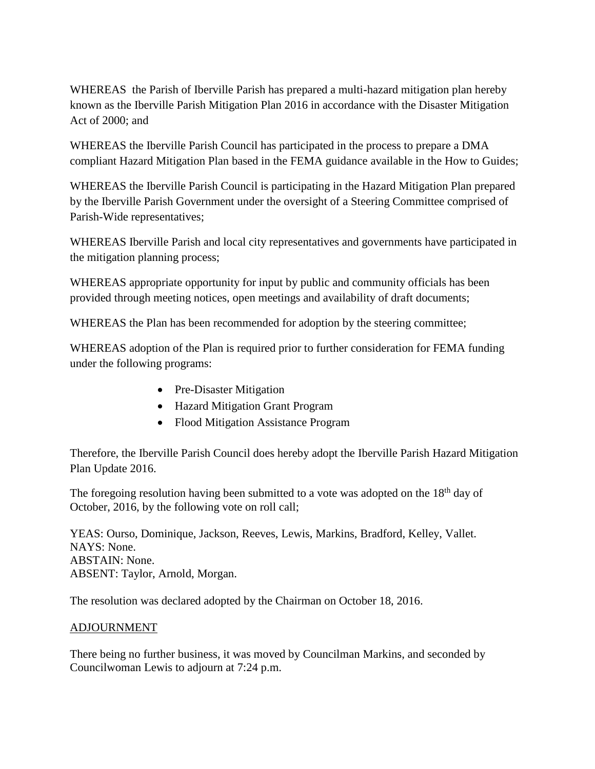WHEREAS the Parish of Iberville Parish has prepared a multi-hazard mitigation plan hereby known as the Iberville Parish Mitigation Plan 2016 in accordance with the Disaster Mitigation Act of 2000; and

WHEREAS the Iberville Parish Council has participated in the process to prepare a DMA compliant Hazard Mitigation Plan based in the FEMA guidance available in the How to Guides;

WHEREAS the Iberville Parish Council is participating in the Hazard Mitigation Plan prepared by the Iberville Parish Government under the oversight of a Steering Committee comprised of Parish-Wide representatives;

WHEREAS Iberville Parish and local city representatives and governments have participated in the mitigation planning process;

WHEREAS appropriate opportunity for input by public and community officials has been provided through meeting notices, open meetings and availability of draft documents;

WHEREAS the Plan has been recommended for adoption by the steering committee;

WHEREAS adoption of the Plan is required prior to further consideration for FEMA funding under the following programs:

- Pre-Disaster Mitigation
- Hazard Mitigation Grant Program
- Flood Mitigation Assistance Program

Therefore, the Iberville Parish Council does hereby adopt the Iberville Parish Hazard Mitigation Plan Update 2016.

The foregoing resolution having been submitted to a vote was adopted on the  $18<sup>th</sup>$  day of October, 2016, by the following vote on roll call;

YEAS: Ourso, Dominique, Jackson, Reeves, Lewis, Markins, Bradford, Kelley, Vallet. NAYS: None. ABSTAIN: None. ABSENT: Taylor, Arnold, Morgan.

The resolution was declared adopted by the Chairman on October 18, 2016.

# ADJOURNMENT

There being no further business, it was moved by Councilman Markins, and seconded by Councilwoman Lewis to adjourn at 7:24 p.m.